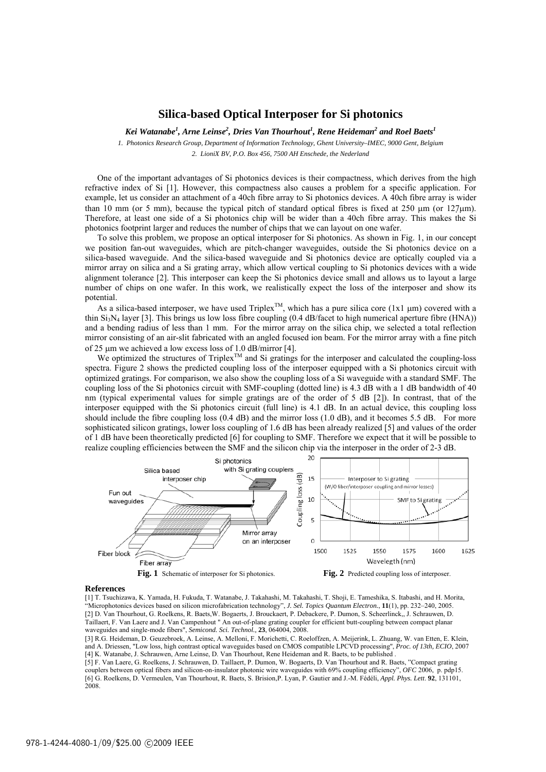### **Silica-based Optical Interposer for Si photonics**

*Kei Watanabe<sup>1</sup> , Arne Leinse2 , Dries Van Thourhout<sup>1</sup> , Rene Heideman2 and Roel Baets<sup>1</sup>*

*1. Photonics Research Group, Department of Information Technology, Ghent University–IMEC, 9000 Gent, Belgium 2. LioniX BV, P.O. Box 456, 7500 AH Enschede, the Nederland* 

One of the important advantages of Si photonics devices is their compactness, which derives from the high refractive index of Si [1]. However, this compactness also causes a problem for a specific application. For example, let us consider an attachment of a 40ch fibre array to Si photonics devices. A 40ch fibre array is wider than 10 mm (or 5 mm), because the typical pitch of standard optical fibres is fixed at  $250 \text{ µm}$  (or  $127 \text{µm}$ ). Therefore, at least one side of a Si photonics chip will be wider than a 40ch fibre array. This makes the Si photonics footprint larger and reduces the number of chips that we can layout on one wafer.

To solve this problem, we propose an optical interposer for Si photonics. As shown in Fig. 1, in our concept we position fan-out waveguides, which are pitch-changer waveguides, outside the Si photonics device on a silica-based waveguide. And the silica-based waveguide and Si photonics device are optically coupled via a mirror array on silica and a Si grating array, which allow vertical coupling to Si photonics devices with a wide alignment tolerance [2]. This interposer can keep the Si photonics device small and allows us to layout a large number of chips on one wafer. In this work, we realistically expect the loss of the interposer and show its potential.

As a silica-based interposer, we have used Triplex<sup>TM</sup>, which has a pure silica core (1x1  $\mu$ m) covered with a thin  $Si<sub>3</sub>N<sub>4</sub>$  layer [3]. This brings us low loss fibre coupling (0.4 dB/facet to high numerical aperture fibre (HNA)) and a bending radius of less than 1 mm. For the mirror array on the silica chip, we selected a total reflection mirror consisting of an air-slit fabricated with an angled focused ion beam. For the mirror array with a fine pitch of 25 µm we achieved a low excess loss of 1.0 dB/mirror [4].

We ontimized the structures of Triplex<sup>TM</sup> and Si gratings for the interposer and calculated the coupling-loss spectra. Figure 2 shows the predicted coupling loss of the interposer equipped with a Si photonics circuit with optimized gratings. For comparison, we also show the coupling loss of a Si waveguide with a standard SMF. The coupling loss of the Si photonics circuit with SMF-coupling (dotted line) is 4.3 dB with a 1 dB bandwidth of 40 nm (typical experimental values for simple gratings are of the order of 5 dB [2]). In contrast, that of the interposer equipped with the Si photonics circuit (full line) is 4.1 dB. In an actual device, this coupling loss should include the fibre coupling loss (0.4 dB) and the mirror loss (1.0 dB), and it becomes 5.5 dB. For more sophisticated silicon gratings, lower loss coupling of 1.6 dB has been already realized [5] and values of the order of 1 dB have been theoretically predicted [6] for coupling to SMF. Therefore we expect that it will be possible to realize coupling efficiencies between the SMF and the silicon chip via the interposer in the order of 2-3 dB.



#### **References**

[1] T. Tsuchizawa, K. Yamada, H. Fukuda, T. Watanabe, J. Takahashi, M. Takahashi, T. Shoji, E. Tameshika, S. Itabashi, and H. Morita, "Microphotonics devices based on silicon microfabrication technology", *J. Sel. Topics Quantum Electron.*, **11**(1), pp. 232–240, 2005. [2] D. Van Thourhout, G. Roelkens, R. Baets,W. Bogaerts, J. Brouckaert, P. Debackere, P. Dumon, S. Scheerlinck,, J. Schrauwen, D. Taillaert, F. Van Laere and J. Van Campenhout " An out-of-plane grating coupler for efficient butt-coupling between compact planar waveguides and single-mode fibers", *Semicond. Sci. Technol.,* **23**, 064004, 2008.

[3] R.G. Heideman, D. Geuzebroek, A. Leinse, A. Melloni, F. Morichetti, C. Roeloffzen, A. Meijerink, L. Zhuang, W. van Etten, E. Klein, and A. Driessen, "Low loss, high contrast optical waveguides based on CMOS compatible LPCVD processing'', *Proc. of 13th, ECIO*, 2007 [4] K. Watanabe, J. Schrauwen, Arne Leinse, D. Van Thourhout, Rene Heideman and R. Baets, to be published .

[5] F. Van Laere, G. Roelkens, J. Schrauwen, D. Taillaert, P. Dumon, W. Bogaerts, D. Van Thourhout and R. Baets, "Compact grating couplers between optical fibers and silicon-on-insulator photonic wire waveguides with 69% coupling efficiency", *OFC* 2006, p. pdp15. [6] G. Roelkens, D. Vermeulen, Van Thourhout, R. Baets, S. Brision,P. Lyan, P. Gautier and J.-M. Fédéli, *Appl. Phys. Lett*. **92**, 131101, 2008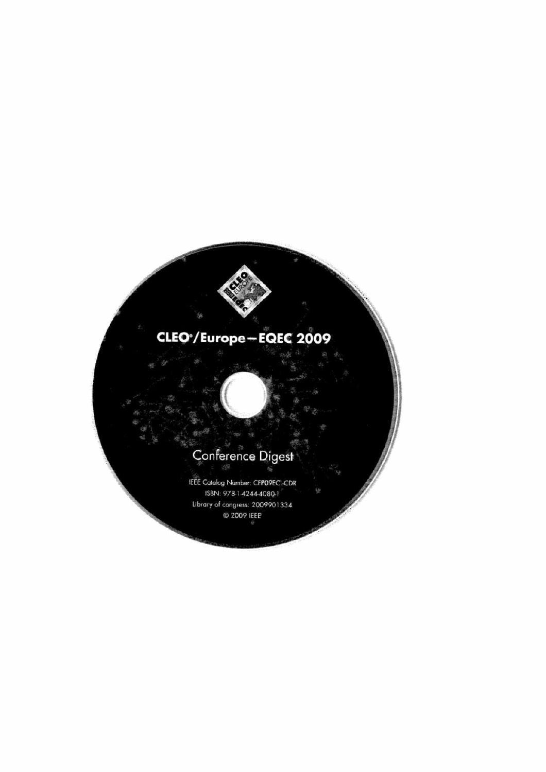## CLEO<sup>\*</sup>/Europe-EQEC 2009

# Conference Digest

IEEE Catalog Number: CFPO9ECL-CDR ISBN: 978-1-4244-4080-1 Library of congress: 2009901334 C 2009 IEEE